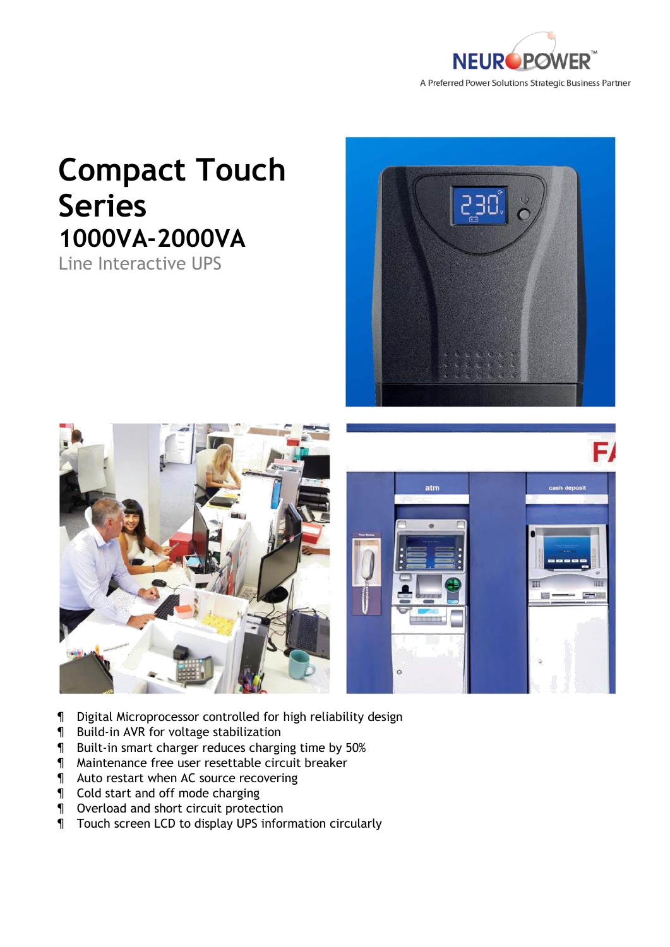

## **Compact Touch Series 1000VA-2000VA**

Line Interactive UPS







Ð

- Digital Microprocessor controlled for high reliability design
- Build-in AVR for voltage stabilization
- Built-in smart charger reduces charging time by 50%
- Maintenance free user resettable circuit breaker
- Auto restart when AC source recovering
- Cold start and off mode charging
- Overload and short circuit protection
- Touch screen LCD to display UPS information circularly